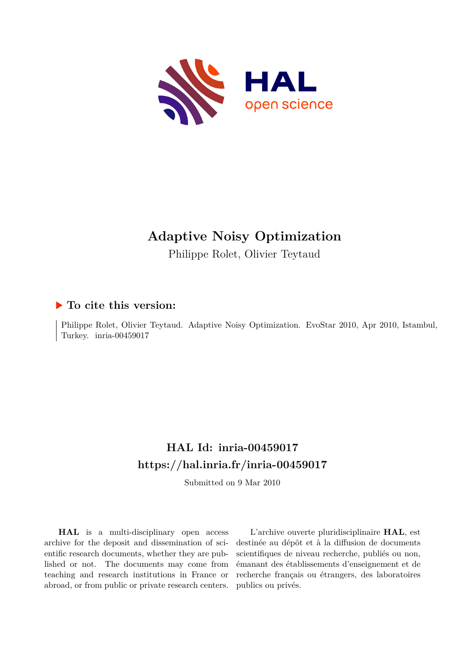

# **Adaptive Noisy Optimization**

Philippe Rolet, Olivier Teytaud

# **To cite this version:**

Philippe Rolet, Olivier Teytaud. Adaptive Noisy Optimization. EvoStar 2010, Apr 2010, Istambul, Turkey. inria-00459017

# **HAL Id: inria-00459017 <https://hal.inria.fr/inria-00459017>**

Submitted on 9 Mar 2010

**HAL** is a multi-disciplinary open access archive for the deposit and dissemination of scientific research documents, whether they are published or not. The documents may come from teaching and research institutions in France or abroad, or from public or private research centers.

L'archive ouverte pluridisciplinaire **HAL**, est destinée au dépôt et à la diffusion de documents scientifiques de niveau recherche, publiés ou non, émanant des établissements d'enseignement et de recherche français ou étrangers, des laboratoires publics ou privés.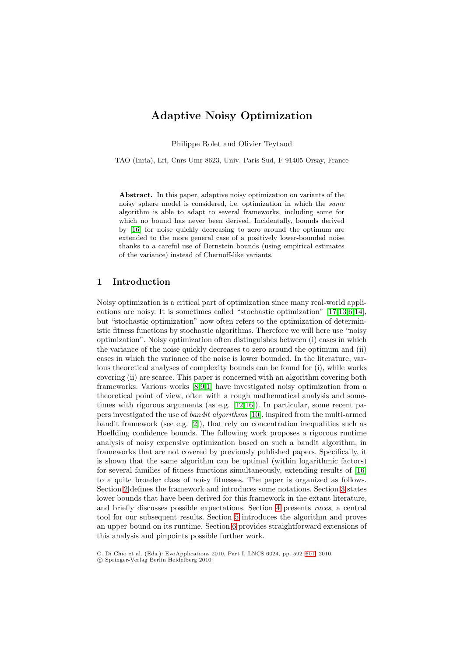# **Adaptive Noisy Optimization**

Philippe Rolet and Olivier Teytaud

TAO (Inria), Lri, Cnrs Umr 8623, Univ. Paris-Sud, F-91405 Orsay, France

**Abstract.** In this paper, adaptive noisy optimization on variants of the noisy sphere model is considered, i.e. optimization in which the *same* algorithm is able to adapt to several frameworks, including some for which no bound has never been derived. Incidentally, bounds derived by [16] for noise quickly decreasing to zero around the optimum are extended to the more general case of a positively lower-bounded noise thanks to a careful use of Bernstein bounds (using empirical estimates of the variance) instead of Chernoff-like variants.

## **1 Introduction**

Noisy optimization is a critical part of optimization since many real-world applications are noisy. It is sometimes called "stochastic optimization" [17,13,6,14], but "stochastic optimization" now often refers to the optimization of deterministic fitness functions by stochastic algorithms. Therefore we will here use "noisy optimization". Noisy optimization often distinguishes between (i) cases in which the variance of the noise quickly decreases to zero around the optimum and (ii) cases in which the variance of the noise is lower bounded. In the literature, various theoretical analyses of complexity bounds can be found for (i), while works covering (ii) are scarce. This paper is concerned with an algorithm covering both frameworks. Various works [8,9,1] have investigated noisy optimization from a theoretical point of view, often with a rough mathematical analysis and sometimes with rigorous arguments (as e.g. [12,16]). In particular, some recent papers investigated the use of *bandit algorithms* [10], inspired from the multi-armed bandit framework (see e.g.  $[2]$ ), that rely on concentration inequalities such as Hoeffding confidence bounds. The following work proposes a rigorous runtime analysis of noisy expensive optimization based on such a bandit algorithm, in frameworks that are not covered by previously published papers. Specifically, it is shown that the same algorithm can be optimal (within logarithmic factors) for several families of fitness functions simultaneously, extending results of [16] to a quite broader class of noisy fitnesses. The paper is organized as follows. Section 2 defines the framework and introduces some notations. Section 3 states lower bounds that have been derived for this framework in the extant literature, and briefly discusses possible expectations. Section 4 presents *races*, a central tool for our subsequent results. Section 5 introduces the algorithm and proves an upper bound on its runtime. Section 6 provides straightforward extensions of this analysis and pinpoints possible further work.

C. Di Chio et al. (Eds.): EvoApplications 2010, Part I, LNCS 6024, pp. 592–601, 2010.

<sup>-</sup>c Springer-Verlag Berlin Heidelberg 2010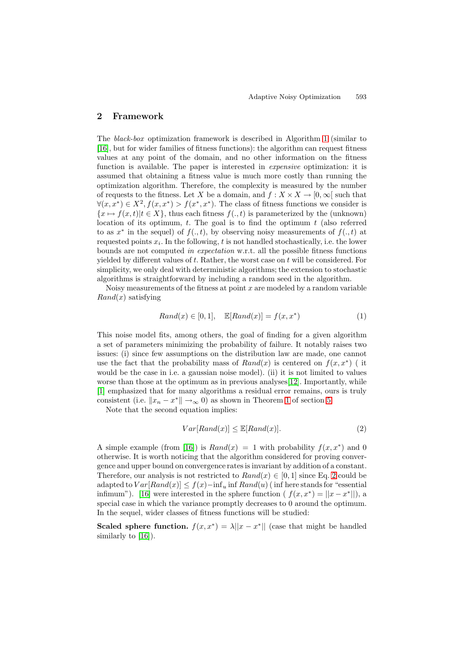# **2 Framework**

The *black-box* optimization framework is described in Algorithm 1 (similar to [16], but for wider families of fitness functions): the algorithm can request fitness values at any point of the domain, and no other information on the fitness function is available. The paper is interested in *expensive* optimization: it is assumed that obtaining a fitness value is much more costly than running the optimization algorithm. Therefore, the complexity is measured by the number of requests to the fitness. Let X be a domain, and  $f : X \times X \to [0, \infty)$  such that  $\forall (x, x^*) \in X^2, f(x, x^*) > f(x^*, x^*)$ . The class of fitness functions we consider is  ${x \mapsto f(x,t)|t \in X}$ , thus each fitness  $f(. , t)$  is parameterized by the (unknown) location of its optimum,  $t$ . The goal is to find the optimum  $t$  (also referred to as  $x^*$  in the sequel) of  $f(., t)$ , by observing noisy measurements of  $f(., t)$  at requested points  $x_i$ . In the following, t is not handled stochastically, i.e. the lower bounds are not computed *in expectation* w.r.t. all the possible fitness functions yielded by different values of  $t$ . Rather, the worst case on  $t$  will be considered. For simplicity, we only deal with deterministic algorithms; the extension to stochastic algorithms is straightforward by including a random seed in the algorithm.

Noisy measurements of the fitness at point  $x$  are modeled by a random variable  $Rand(x)$  satisfying

$$
Rand(x) \in [0,1], \quad \mathbb{E}[Rand(x)] = f(x, x^*) \tag{1}
$$

This noise model fits, among others, the goal of finding for a given algorithm a set of parameters minimizing the probability of failure. It notably raises two issues: (i) since few assumptions on the distribution law are made, one cannot use the fact that the probability mass of  $Rand(x)$  is centered on  $f(x, x^*)$  (it would be the case in i.e. a gaussian noise model). (ii) it is not limited to values worse than those at the optimum as in previous analyses [12]. Importantly, while [1] emphasized that for many algorithms a residual error remains, ours is truly consistent (i.e.  $||x_n - x^*|| \to_{\infty} 0$ ) as shown in Theorem 1 of section 5.

Note that the second equation implies:

$$
Var[Rand(x)] \le \mathbb{E}[Rand(x)].\tag{2}
$$

A simple example (from [16]) is  $Rand(x) = 1$  with probability  $f(x, x^*)$  and 0 otherwise. It is worth noticing that the algorithm considered for proving convergence and upper bound on convergence rates is invariant by addition of a constant. Therefore, our analysis is not restricted to  $Rand(x) \in [0,1]$  since Eq. 2 could be adapted to  $Var[Rand(x)] \le f(x) - inf_u$  inf  $Rand(u)$  (inf here stands for "essential infimum"). [16] were interested in the sphere function (  $f(x, x^*) = ||x - x^*||$ ), a special case in which the variance promptly decreases to 0 around the optimum. In the sequel, wider classes of fitness functions will be studied:

**Scaled sphere function.**  $f(x, x^*) = \lambda ||x - x^*||$  (case that might be handled similarly to [16]).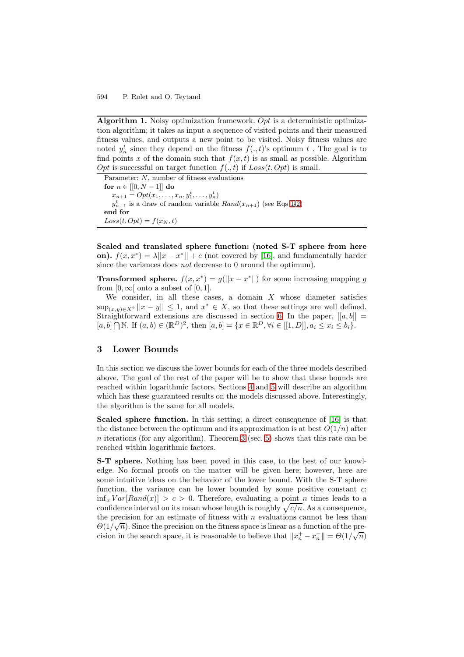**Algorithm 1.** Noisy optimization framework. Opt is a deterministic optimization algorithm; it takes as input a sequence of visited points and their measured fitness values, and outputs a new point to be visited. Noisy fitness values are noted  $y_n^t$  since they depend on the fitness  $f(., t)$ 's optimum t. The goal is to find points x of the domain such that  $f(x, t)$  is as small as possible. Algorithm Opt is successful on target function  $f(., t)$  if  $Loss(t, Opt)$  is small.

Parameter: N, number of fitness evaluations **for**  $n \in [[0, N-1]]$  **do**  $x_{n+1} = Opt(x_1, \ldots, x_n, y_1^t, \ldots, y_n^t)$  $y_{n+1}^t$  is a draw of random variable  $Rand(x_{n+1})$  (see Eqs 1-2) **end for**  $Loss(t, Opt) = f(x_N, t)$ 

**Scaled and translated sphere function: (noted S-T sphere from here on).**  $f(x, x^*) = \lambda ||x - x^*|| + c$  (not covered by [16], and fundamentally harder since the variances does *not* decrease to 0 around the optimum).

**Transformed sphere.**  $f(x, x^*) = g(||x - x^*||)$  for some increasing mapping g from  $[0, \infty)$  onto a subset of  $[0, 1]$ .

We consider, in all these cases, a domain  $X$  whose diameter satisfies  $\sup_{(x,y)\in X^2}||x-y||\leq 1$ , and  $x^*\in X$ , so that these settings are well defined. Straightforward extensions are discussed in section 6. In the paper,  $[[a, b]] =$  $[a, b] \cap \mathbb{N}$ . If  $(a, b) \in (\mathbb{R}^D)^2$ , then  $[a, b] = \{x \in \mathbb{R}^D, \forall i \in [[1, D]], a_i \leq x_i \leq b_i\}$ .

## **3 Lower Bounds**

In this section we discuss the lower bounds for each of the three models described above. The goal of the rest of the paper will be to show that these bounds are reached within logarithmic factors. Sections 4 and 5 will describe an algorithm which has these guaranteed results on the models discussed above. Interestingly, the algorithm is the same for all models.

**Scaled sphere function.** In this setting, a direct consequence of [16] is that the distance between the optimum and its approximation is at best  $O(1/n)$  after  $n$  iterations (for any algorithm). Theorem 3 (sec. 5) shows that this rate can be reached within logarithmic factors.

**S-T sphere.** Nothing has been poved in this case, to the best of our knowledge. No formal proofs on the matter will be given here; however, here are some intuitive ideas on the behavior of the lower bound. With the S-T sphere function, the variance can be lower bounded by some positive constant c:  $\inf_x Var[Rand(x)] > c > 0$ . Therefore, evaluating a point *n* times leads to a confidence interval on its mean whose length is roughly  $\sqrt{c/n}$ . As a consequence, the precision for an estimate of fitness with  $n$  evaluations cannot be less than  $\Theta(1/\sqrt{n})$ . Since the precision on the fitness space is linear as a function of the precision in the search space, it is reasonable to believe that  $||x_n^+ - x_n^-|| = \Theta(1/\sqrt{n})$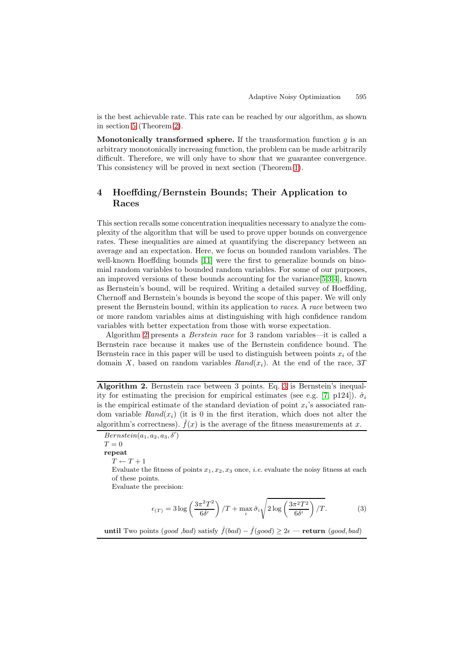is the best achievable rate. This rate can be reached by our algorithm, as shown in section 5 (Theorem 2).

**Monotonically transformed sphere.** If the transformation function  $q$  is an arbitrary monotonically increasing function, the problem can be made arbitrarily difficult. Therefore, we will only have to show that we guarantee convergence. This consistency will be proved in next section (Theorem 1).

# **4 Hoeffding/Bernstein Bounds; Their Application to Races**

This section recalls some concentration inequalities necessary to analyze the complexity of the algorithm that will be used to prove upper bounds on convergence rates. These inequalities are aimed at quantifying the discrepancy between an average and an expectation. Here, we focus on bounded random variables. The well-known Hoeffding bounds [11] were the first to generalize bounds on binomial random variables to bounded random variables. For some of our purposes, an improved versions of these bounds accounting for the variance[5,3,4], known as Bernstein's bound, will be required. Writing a detailed survey of Hoeffding, Chernoff and Bernstein's bounds is beyond the scope of this paper. We will only present the Bernstein bound, within its application to *races*. A *race* between two or more random variables aims at distinguishing with high confidence random variables with better expectation from those with worse expectation.

Algorithm 2 presents a *Berstein race* for 3 random variables—it is called a Bernstein race because it makes use of the Bernstein confidence bound. The Bernstein race in this paper will be used to distinguish between points  $x_i$  of the domain X, based on random variables  $Rand(x_i)$ . At the end of the race, 3T

**Algorithm 2.** Bernstein race between 3 points. Eq. 3 is Bernstein's inequality for estimating the precision for empirical estimates (see e.g. [7, p124]).  $\hat{\sigma}_i$ is the empirical estimate of the standard deviation of point  $x_i$ 's associated random variable  $Rand(x_i)$  (it is 0 in the first iteration, which does not alter the algorithm's correctness).  $\hat{f}(x)$  is the average of the fitness measurements at x.

 $Bernstein(a_1, a_2, a_3, \delta')$  $T=0$ **repeat**  $T \leftarrow T + 1$ Evaluate the fitness of points  $x_1, x_2, x_3$  once, *i.e.* evaluate the noisy fitness at each of these points. Evaluate the precision:

$$
\epsilon_{(T)} = 3\log\left(\frac{3\pi^2 T^2}{6\delta'}\right) / T + \max_i \hat{\sigma}_i \sqrt{2\log\left(\frac{3\pi^2 T^2}{6\delta'}\right) / T}.
$$
 (3)

**until** Two points (good ,bad) satisfy  $\hat{f}(bad) - \hat{f}(good) \geq 2\epsilon$  — **return** (good, bad)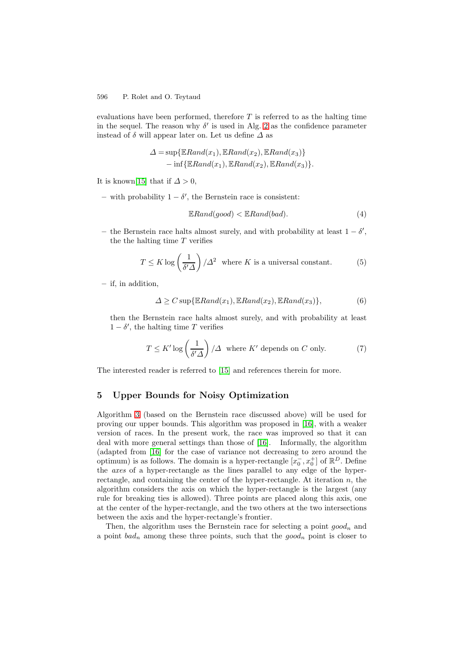#### 596 P. Rolet and O. Teytaud

evaluations have been performed, therefore  $T$  is referred to as the halting time in the sequel. The reason why  $\delta'$  is used in Alg. 2 as the confidence parameter instead of  $\delta$  will appear later on. Let us define  $\Delta$  as

$$
\Delta = \sup \{ \mathbb{E} Rand(x_1), \mathbb{E} Rand(x_2), \mathbb{E} Rand(x_3) \} - \inf \{ \mathbb{E} Rand(x_1), \mathbb{E} Rand(x_2), \mathbb{E} Rand(x_3) \}.
$$

It is known[15] that if  $\Delta > 0$ ,

**–** with probability 1 − δ , the Bernstein race is consistent:

$$
\mathbb{E} Rand(good) < \mathbb{E} Rand(bad). \tag{4}
$$

**–** the Bernstein race halts almost surely, and with probability at least 1 − δ , the the halting time  $T$  verifies

$$
T \le K \log \left(\frac{1}{\delta' \Delta}\right) / \Delta^2 \quad \text{where } K \text{ is a universal constant.} \tag{5}
$$

**–** if, in addition,

$$
\Delta \ge C \sup \{ \mathbb{E} \text{Rand}(x_1), \mathbb{E} \text{Rand}(x_2), \mathbb{E} \text{Rand}(x_3) \},\tag{6}
$$

then the Bernstein race halts almost surely, and with probability at least  $1 - \delta'$ , the halting time T verifies

$$
T \le K' \log\left(\frac{1}{\delta' \Delta}\right) / \Delta \quad \text{where } K' \text{ depends on } C \text{ only.}
$$
 (7)

The interested reader is referred to [15] and references therein for more.

## **5 Upper Bounds for Noisy Optimization**

Algorithm 3 (based on the Bernstein race discussed above) will be used for proving our upper bounds. This algorithm was proposed in [16], with a weaker version of races. In the present work, the race was improved so that it can deal with more general settings than those of [16]. Informally, the algorithm (adapted from [16] for the case of variance not decreasing to zero around the optimum) is as follows. The domain is a hyper-rectangle  $[x_0^-, x_0^+]$  of  $\mathbb{R}^D$ . Define the *axes* of a hyper-rectangle as the lines parallel to any edge of the hyperrectangle, and containing the center of the hyper-rectangle. At iteration  $n$ , the algorithm considers the axis on which the hyper-rectangle is the largest (any rule for breaking ties is allowed). Three points are placed along this axis, one at the center of the hyper-rectangle, and the two others at the two intersections between the axis and the hyper-rectangle's frontier.

Then, the algorithm uses the Bernstein race for selecting a point  $qood_n$  and a point  $bad_n$  among these three points, such that the  $good_n$  point is closer to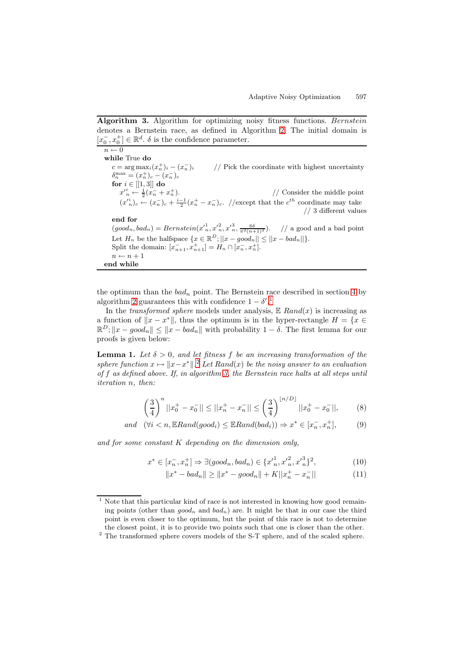**Algorithm 3.** Algorithm for optimizing noisy fitness functions. Bernstein denotes a Bernstein race, as defined in Algorithm 2. The initial domain is  $[x_0^-, x_0^+] \in \mathbb{R}^d$  .  $\delta$  is the confidence parameter.

 $n \leftarrow 0$ **while** True **do**  $c = \arg \max_i (x_n^+)_{i} - (x_n^-)_{i}$  $\frac{1}{2}$  Pick the coordinate with highest uncertainty  $\delta_n^{\max} = (x_n^+)_c - (x_n^-)_c$ **for**  $i \in$  [[1, 3]] **do**  $x'_n \leftarrow \frac{1}{2}(x_n^- + x_n^+)$  $1/$  Consider the middle point  $(x_n^i)_c \leftarrow (x_n^-)_c + \frac{i-1}{2}(x_n^+ - x_n^-)_c$ . //except that the  $c^{th}$  coordinate may take // 3 different values **end for**  $(good_n, bad_n) = Bernstein(x'_{n}, x'^{2}_{n}, x'^{3}_{n}, \frac{6\delta}{\pi^{2(n+1)^{2}}})$ . // a good and a bad point Let  $H_n$  be the halfspace  $\{x \in \mathbb{R}^D; ||x-good_n|| \le ||x-bad_n||\}.$ Split the domain:  $[x_{n+1}^-, x_{n+1}^+] = H_n \cap [x_n^-, x_n^+]$ .  $n \leftarrow n + 1$ **end while**

the optimum than the  $bad_n$  point. The Bernstein race described in section 4 by algorithm 2 guarantees this with confidence  $1 - \delta'$ .<sup>1</sup>

In the *transformed sphere* models under analysis,  $E$   $Rand(x)$  is increasing as a function of  $||x - x^*||$ , thus the optimum is in the hyper-rectangle  $H = \{x \in$  $\mathbb{R}^D$ ;  $||x - good_n|| \le ||x - bad_n||$  with probability  $1 - \delta$ . The first lemma for our proofs is given below:

**Lemma 1.** Let  $\delta > 0$ , and let fitness f be an increasing transformation of the *sphere function*  $x \mapsto ||x-x^*||^2$  *Let*  $Rand(x)$  *be the noisy answer to an evaluation of* f *as defined above. If, in algorithm 3, the Bernstein race halts at all steps until iteration* n*, then:*

$$
\left(\frac{3}{4}\right)^n ||x_0^+ - x_0^-|| \le ||x_n^+ - x_n^-|| \le \left(\frac{3}{4}\right)^{\lfloor n/D \rfloor} ||x_0^+ - x_0^-||, \tag{8}
$$

and  $(\forall i < n, \mathbb{E}$ *Rand*(good<sub>i</sub>)  $\leq \mathbb{E}$ *Rand*(bad<sub>i</sub>))  $\Rightarrow x^* \in [x_n^-, x_n^+]$  $(9)$ 

*and for some constant* K *depending on the dimension only,*

$$
x^* \in [x_n^-, x_n^+] \Rightarrow \exists (good_n, bad_n) \in \{x_n^{\prime 1}, x_n^{\prime 2}, x_n^{\prime 3}\}^2,\tag{10}
$$

$$
||x^* - bad_n|| \ge ||x^* - good_n|| + K||x_n^+ - x_n^-|| \tag{11}
$$

 $1$  Note that this particular kind of race is not interested in knowing how good remaining points (other than  $qood_n$  and  $bad_n$ ) are. It might be that in our case the third point is even closer to the optimum, but the point of this race is not to determine the closest point, it is to provide two points such that one is closer than the other.

<sup>&</sup>lt;sup>2</sup> The transformed sphere covers models of the S-T sphere, and of the scaled sphere.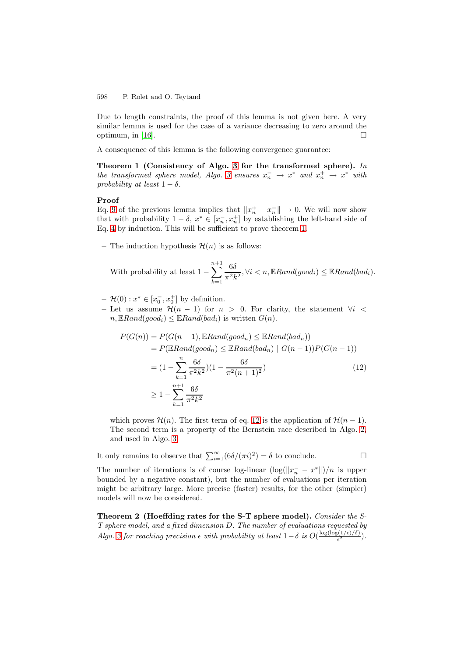#### 598 P. Rolet and O. Teytaud

Due to length constraints, the proof of this lemma is not given here. A very similar lemma is used for the case of a variance decreasing to zero around the optimum, in  $[16]$ .  $\Box$ 

A consequence of this lemma is the following convergence guarantee:

**Theorem 1 (Consistency of Algo. 3 for the transformed sphere).** *In the transformed sphere model, Algo. 3 ensures*  $x_n^- \to x^*$  *and*  $x_n^+ \to x^*$  *with probability at least*  $1 - \delta$ *.* 

#### **Proof**

Eq. 9 of the previous lemma implies that  $||x_n^+ - x_n^-|| \to 0$ . We will now show that with probability  $1 - \delta$ ,  $x^* \in [x_n^-, x_n^+]$  by establishing the left-hand side of Eq. 4 by induction. This will be sufficient to prove theorem 1.

– The induction hypothesis  $\mathcal{H}(n)$  is as follows:

With probability at least 
$$
1 - \sum_{k=1}^{n+1} \frac{6\delta}{\pi^2 k^2}
$$
,  $\forall i < n$ ,  $\mathbb{E} \text{Rand}(good_i) \leq \mathbb{E} \text{Rand}(bad_i)$ .

 $- \mathcal{H}(0) : x^* \in [x_0^-, x_0^+]$  by definition.

– Let us assume  $\mathcal{H}(n-1)$  for  $n > 0$ . For clarity, the statement  $\forall i$  <  $n, \mathbb{E} Rand(good_i) \leq \mathbb{E} Rand(bad_i)$  is written  $G(n)$ .

$$
P(G(n)) = P(G(n-1), \mathbb{E} Rand(good_n) \le \mathbb{E} Rand(bad_n))
$$
  
= 
$$
P(\mathbb{E} Rand(good_n) \le \mathbb{E} Rand(bad_n) | G(n-1))P(G(n-1))
$$
  
= 
$$
(1 - \sum_{k=1}^{n} \frac{6\delta}{\pi^2 k^2})(1 - \frac{6\delta}{\pi^2 (n+1)^2})
$$
  

$$
\ge 1 - \sum_{k=1}^{n+1} \frac{6\delta}{\pi^2 k^2}
$$
 (12)

which proves  $\mathcal{H}(n)$ . The first term of eq. 12 is the application of  $\mathcal{H}(n-1)$ . The second term is a property of the Bernstein race described in Algo. 2, and used in Algo. 3.

It only remains to observe that  $\sum_{i=1}^{\infty} (6\delta/(\pi i)^2) = \delta$  to conclude.  $\Box$  $\Box$ 

The number of iterations is of course log-linear  $(\log(\Vert x_n^--x^* \Vert)/n$  is upper bounded by a negative constant), but the number of evaluations per iteration might be arbitrary large. More precise (faster) results, for the other (simpler) models will now be considered.

**Theorem 2 (Hoeffding rates for the S-T sphere model).** *Consider the S-T sphere model, and a fixed dimension* D*. The number of evaluations requested by Algo. 3 for reaching precision*  $\epsilon$  *with probability at least*  $1 - \delta$  *is*  $O(\frac{\log(\log(1/\epsilon)/\delta)}{\epsilon^2})$ .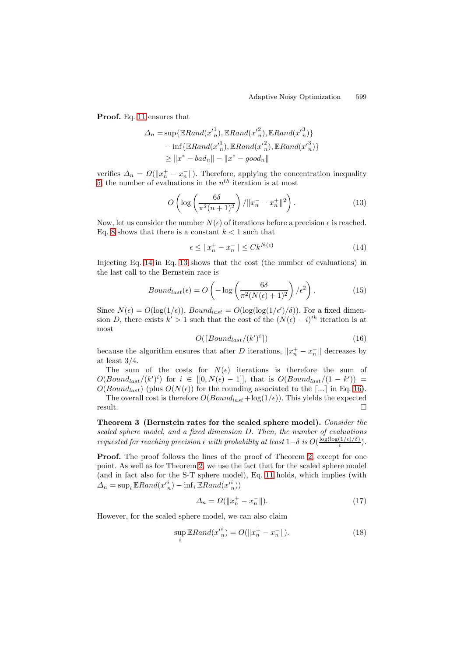**Proof.** Eq. 11 ensures that

$$
\Delta_n = \sup \{ \mathbb{E} Rand(x'_{n}^{1}), \mathbb{E} Rand(x'_{n}^{2}), \mathbb{E} Rand(x'_{n}^{3}) \}
$$
  
\n
$$
- \inf \{ \mathbb{E} Rand(x'_{n}^{1}), \mathbb{E} Rand(x'_{n}^{2}), \mathbb{E} Rand(x'_{n}^{3}) \}
$$
  
\n
$$
\geq ||x^* - bad_n|| - ||x^* - good_n||
$$

verifies  $\Delta_n = \Omega(\Vert x_n^+ - x_n^- \Vert)$ . Therefore, applying the concentration inequality 5, the number of evaluations in the  $n^{th}$  iteration is at most

$$
O\left(\log\left(\frac{6\delta}{\pi^2(n+1)^2}\right) / \|x_n^- - x_n^+\|^2\right). \tag{13}
$$

Now, let us consider the number  $N(\epsilon)$  of iterations before a precision  $\epsilon$  is reached. Eq. 8 shows that there is a constant  $k < 1$  such that

$$
\epsilon \le \|x_n^+ - x_n^-\| \le C k^{N(\epsilon)} \tag{14}
$$

Injecting Eq. 14 in Eq. 13 shows that the cost (the number of evaluations) in the last call to the Bernstein race is

$$
Bound_{last}(\epsilon) = O\left(-\log\left(\frac{6\delta}{\pi^2(N(\epsilon)+1)^2}\right)/\epsilon^2\right). \tag{15}
$$

Since  $N(\epsilon) = O(\log(1/\epsilon))$ ,  $Bound_{last} = O(\log(\log(1/\epsilon')/\delta))$ . For a fixed dimension D, there exists  $k' > 1$  such that the cost of the  $(N(\epsilon) - i)^{th}$  iteration is at most

$$
O([Bound_{last}/(k')i])
$$
\n(16)

because the algorithm ensures that after D iterations,  $||x_n^+ - x_n^-||$  decreases by at least 3/4.

The sum of the costs for  $N(\epsilon)$  iterations is therefore the sum of  $O(Bound_{last}/(k')^i)$  for  $i \in [[0, N(\epsilon) - 1]],$  that is  $O(Bound_{last}/(1 - k')) =$  $O(Bound_{last})$  (plus  $O(N(\epsilon))$  for the rounding associated to the [...] in Eq. 16). The overall cost is therefore  $O(Bound_{last} + log(1/\epsilon))$ . This yields the expected

result. 
$$
\Box
$$

**Theorem 3 (Bernstein rates for the scaled sphere model).** *Consider the scaled sphere model, and a fixed dimension* D*. Then, the number of evaluations requested for reaching precision*  $\epsilon$  *with probability at least*  $1-\delta$  *is*  $O(\frac{\log(\log(1/\epsilon)/\delta)}{\epsilon})$ .

**Proof.** The proof follows the lines of the proof of Theorem 2, except for one point. As well as for Theorem 2, we use the fact that for the scaled sphere model (and in fact also for the S-T sphere model), Eq. 11 holds, which implies (with  $\Delta_n = \sup_i \mathbb{E} Rand(x'^i_n) - \inf_i \mathbb{E} Rand(x'^i_n))$ 

$$
\Delta_n = \Omega(\|x_n^+ - x_n^-\|). \tag{17}
$$

However, for the scaled sphere model, we can also claim

$$
\sup_{i} \mathbb{E} \text{Rand}(x_{n}^{i}) = O(\|x_{n}^{+} - x_{n}^{-}\|). \tag{18}
$$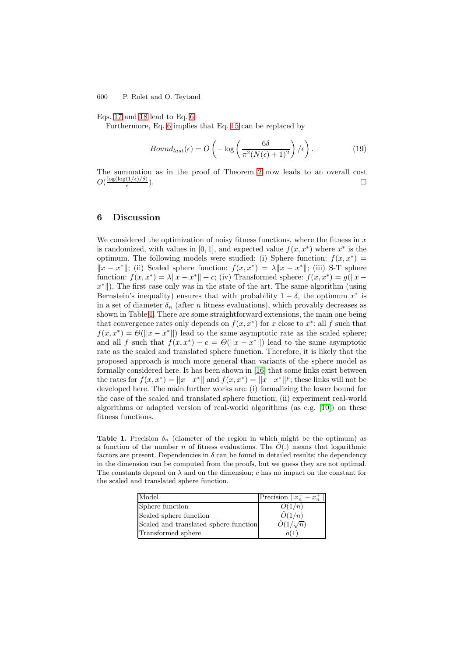600 P. Rolet and O. Teytaud

Eqs. 17 and 18 lead to Eq. 6.

Furthermore, Eq. 6 implies that Eq. 15 can be replaced by

$$
Bound_{last}(\epsilon) = O\left(-\log\left(\frac{6\delta}{\pi^2(N(\epsilon)+1)^2}\right)/\epsilon\right). \tag{19}
$$

The summation as in the proof of Theorem 2 now leads to an overall cost  $O(\frac{\log(\log(1/\epsilon)/\delta)}{\epsilon})$  $\frac{\left(1/\epsilon\right)/\delta}{\epsilon}$ ).

# **6 Discussion**

We considered the optimization of noisy fitness functions, where the fitness in  $x$ is randomized, with values in [0, 1], and expected value  $f(x, x^*)$  where  $x^*$  is the optimum. The following models were studied: (i) Sphere function:  $f(x, x^*) =$  $||x - x^*||$ ; (ii) Scaled sphere function:  $f(x, x^*) = \lambda ||x - x^*||$ ; (iii) S-T sphere function:  $f(x, x^*) = \lambda \|x - x^*\| + c$ ; (iv) Transformed sphere:  $f(x, x^*) = g(\|x - x^*\|)$  $x^*$ ). The first case only was in the state of the art. The same algorithm (using Bernstein's inequality) ensures that with probability  $1 - \delta$ , the optimum  $x^*$  is in a set of diameter  $\delta_n$  (after *n* fitness evaluations), which provably decreases as shown in Table 1. There are some straightforward extensions, the main one being that convergence rates only depends on  $f(x, x^*)$  for x close to  $x^*$ : all f such that  $f(x, x^*) = \Theta(||x - x^*||)$  lead to the same asymptotic rate as the scaled sphere; and all f such that  $f(x, x^*) - c = \Theta(||x - x^*||)$  lead to the same asymptotic rate as the scaled and translated sphere function. Therefore, it is likely that the proposed approach is much more general than variants of the sphere model as formally considered here. It has been shown in [16] that some links exist between the rates for  $f(x, x^*) = ||x - x^*||$  and  $f(x, x^*) = ||x - x^*||^p$ ; these links will not be developed here. The main further works are: (i) formalizing the lower bound for the case of the scaled and translated sphere function; (ii) experiment real-world algorithms or adapted version of real-world algorithms (as e.g. [10]) on these fitness functions.

**Table 1.** Precision  $\delta_n$  (diameter of the region in which might be the optimum) as a function of the number n of fitness evaluations. The  $\tilde{O}(n)$  means that logarithmic factors are present. Dependencies in  $\delta$  can be found in detailed results; the dependency in the dimension can be computed from the proofs, but we guess they are not optimal. The constants depend on  $\lambda$  and on the dimension; c has no impact on the constant for the scaled and translated sphere function.

| Model                                 | Precision $  x_n^- - x_n^+  $ |
|---------------------------------------|-------------------------------|
| Sphere function                       | O(1/n)                        |
| Scaled sphere function                | $\tilde{O}(1/n)$              |
| Scaled and translated sphere function | $\tilde{O}(1/\sqrt{n})$       |
| Transformed sphere                    |                               |